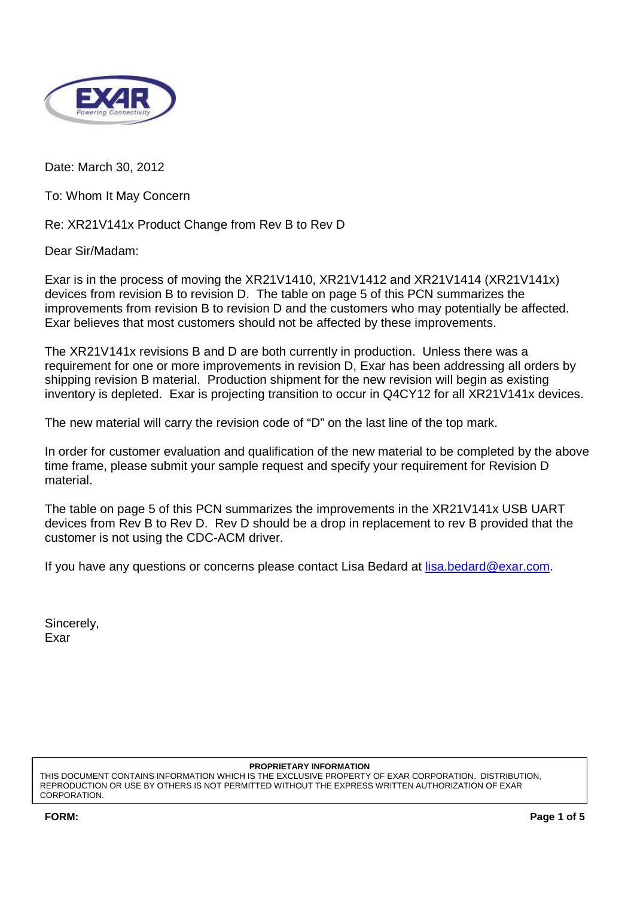

Date: March 30, 2012

To: Whom It May Concern

Re: XR21V141x Product Change from Rev B to Rev D

Dear Sir/Madam:

Exar is in the process of moving the XR21V1410, XR21V1412 and XR21V1414 (XR21V141x) devices from revision B to revision D. The table on page 5 of this PCN summarizes the improvements from revision B to revision D and the customers who may potentially be affected. Exar believes that most customers should not be affected by these improvements.

The XR21V141x revisions B and D are both currently in production. Unless there was a requirement for one or more improvements in revision D, Exar has been addressing all orders by shipping revision B material. Production shipment for the new revision will begin as existing inventory is depleted. Exar is projecting transition to occur in Q4CY12 for all XR21V141x devices.

The new material will carry the revision code of "D" on the last line of the top mark.

In order for customer evaluation and qualification of the new material to be completed by the above time frame, please submit your sample request and specify your requirement for Revision D material.

The table on page 5 of this PCN summarizes the improvements in the XR21V141x USB UART devices from Rev B to Rev D. Rev D should be a drop in replacement to rev B provided that the customer is not using the CDC-ACM driver.

If you have any questions or concerns please contact Lisa Bedard at lisa.bedard@exar.com.

Sincerely, Exar

**PROPRIETARY INFORMATION**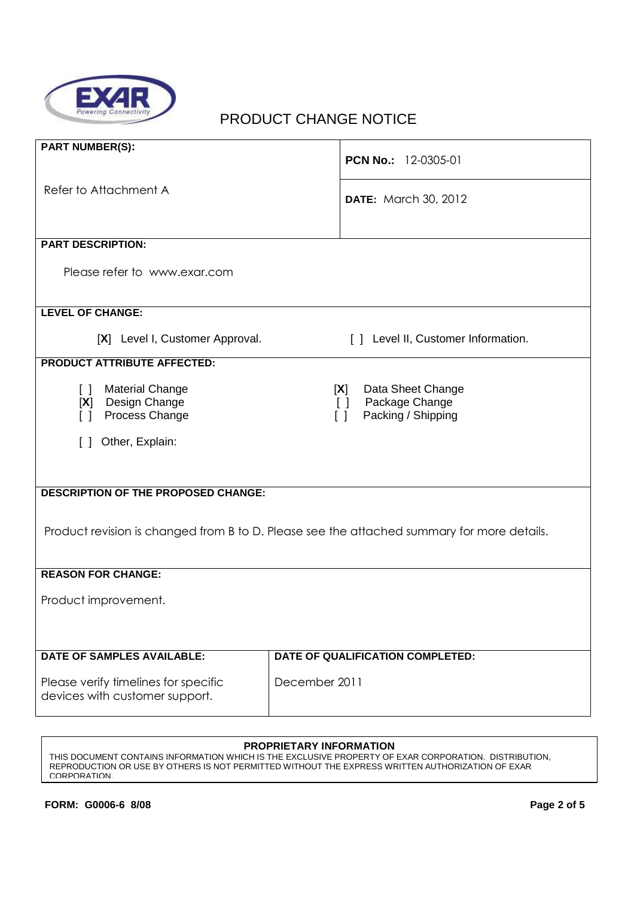

| <b>PART NUMBER(S):</b>                                                                                                                                  | <b>PCN No.: 12-0305-01</b>                                                       |  |  |
|---------------------------------------------------------------------------------------------------------------------------------------------------------|----------------------------------------------------------------------------------|--|--|
| Refer to Attachment A                                                                                                                                   | <b>DATE:</b> March 30, 2012                                                      |  |  |
| <b>PART DESCRIPTION:</b>                                                                                                                                |                                                                                  |  |  |
| Please refer to www.exar.com                                                                                                                            |                                                                                  |  |  |
| <b>LEVEL OF CHANGE:</b>                                                                                                                                 |                                                                                  |  |  |
| [X] Level I, Customer Approval.                                                                                                                         | [ ] Level II, Customer Information.                                              |  |  |
| <b>PRODUCT ATTRIBUTE AFFECTED:</b>                                                                                                                      |                                                                                  |  |  |
| <b>Material Change</b><br>$\begin{bmatrix} 1 \end{bmatrix}$<br>Design Change<br>[X]<br>Process Change<br>$\Box$<br>Other, Explain:<br>$\lceil$ $\rceil$ | Data Sheet Change<br>[X]<br>Package Change<br>$\Box$<br>Packing / Shipping<br>ſΙ |  |  |
| <b>DESCRIPTION OF THE PROPOSED CHANGE:</b>                                                                                                              |                                                                                  |  |  |
| Product revision is changed from B to D. Please see the attached summary for more details.                                                              |                                                                                  |  |  |
| <b>REASON FOR CHANGE:</b>                                                                                                                               |                                                                                  |  |  |
| Product improvement.                                                                                                                                    |                                                                                  |  |  |
|                                                                                                                                                         |                                                                                  |  |  |
| <b>DATE OF SAMPLES AVAILABLE:</b>                                                                                                                       | DATE OF QUALIFICATION COMPLETED:                                                 |  |  |
| Please verify timelines for specific<br>devices with customer support.                                                                                  | December 2011                                                                    |  |  |

### **PROPRIETARY INFORMATION**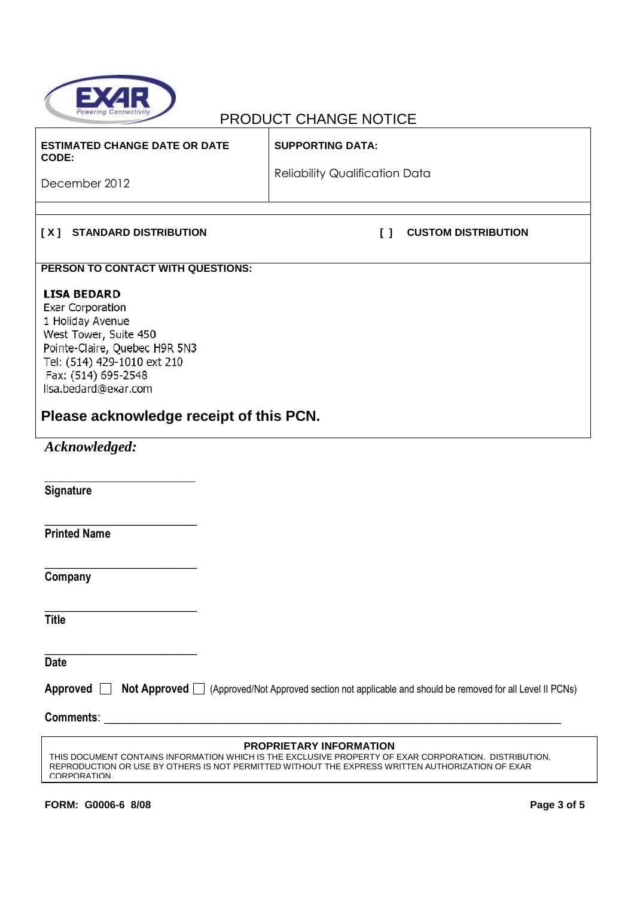

| <b>ESTIMATED CHANGE DATE OR DATE</b><br>CODE:                                                                                                                                                                                                                         | <b>SUPPORTING DATA:</b>               |  |
|-----------------------------------------------------------------------------------------------------------------------------------------------------------------------------------------------------------------------------------------------------------------------|---------------------------------------|--|
| December 2012                                                                                                                                                                                                                                                         | <b>Reliability Qualification Data</b> |  |
|                                                                                                                                                                                                                                                                       |                                       |  |
| [X] STANDARD DISTRIBUTION                                                                                                                                                                                                                                             | <b>CUSTOM DISTRIBUTION</b><br>$\Box$  |  |
| PERSON TO CONTACT WITH QUESTIONS:                                                                                                                                                                                                                                     |                                       |  |
| <b>LISA BEDARD</b><br><b>Exar Corporation</b><br>1 Holiday Avenue<br>West Tower, Suite 450<br>Pointe-Claire, Quebec H9R 5N3<br>Tel: (514) 429-1010 ext 210<br>Fax: (514) 695-2548<br>lisa.bedard@exar.com<br>Please acknowledge receipt of this PCN.<br>Acknowledged: |                                       |  |
| Signature                                                                                                                                                                                                                                                             |                                       |  |
| <b>Printed Name</b>                                                                                                                                                                                                                                                   |                                       |  |
| Company                                                                                                                                                                                                                                                               |                                       |  |
| <b>Title</b>                                                                                                                                                                                                                                                          |                                       |  |
| <b>Date</b>                                                                                                                                                                                                                                                           |                                       |  |
| Approved $\Box$<br>Not Approved   (Approved/Not Approved section not applicable and should be removed for all Level II PCNs)                                                                                                                                          |                                       |  |
|                                                                                                                                                                                                                                                                       |                                       |  |
|                                                                                                                                                                                                                                                                       |                                       |  |
| PROPRIETARY INFORMATION<br>THIS DOCUMENT CONTAINS INFORMATION WHICH IS THE EXCLUSIVE PROPERTY OF EXAR CORPORATION. DISTRIBUTION,<br>REPRODUCTION OR USE BY OTHERS IS NOT PERMITTED WITHOUT THE EXPRESS WRITTEN AUTHORIZATION OF EXAR<br>CORPORATION                   |                                       |  |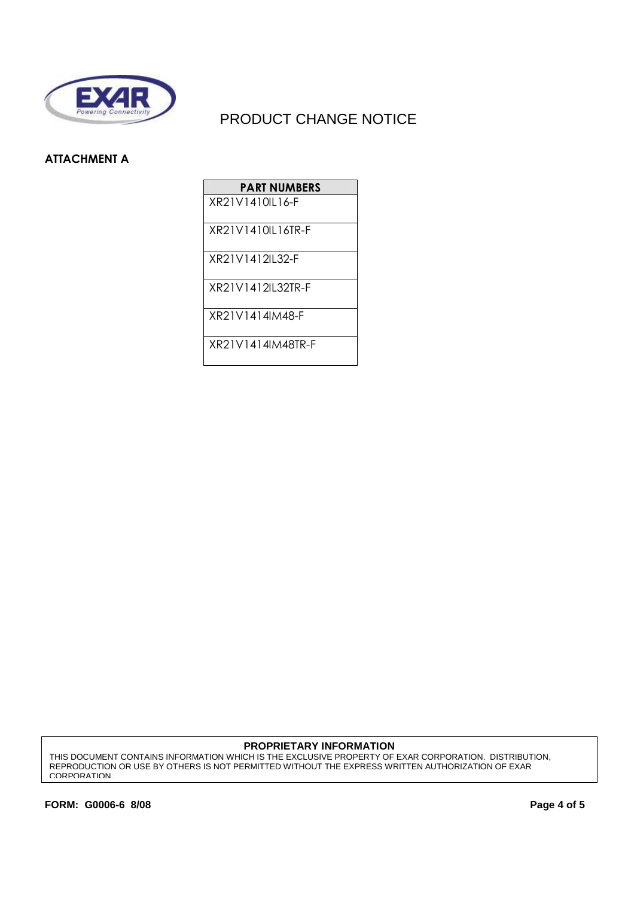

## **ATTACHMENT A**

| <b>PART NUMBERS</b> |
|---------------------|
| XR21V1410L16-F      |
| XR21V1410L16TR-F    |
| XR21V1412II 32-F    |
| XR21V1412II 32TR-F  |
| XR21V1414IM48-F     |
| XR21V1414IM48TR-F   |

### **PROPRIETARY INFORMATION**